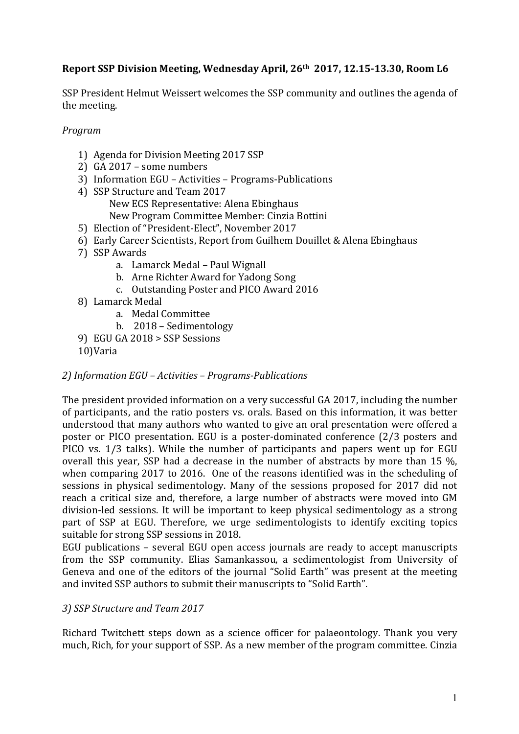# **Report SSP Division Meeting, Wednesday April, 26<sup>th</sup> 2017, 12.15-13.30, Room L6**

SSP President Helmut Weissert welcomes the SSP community and outlines the agenda of the meeting.

*Program*

- 1) Agenda for Division Meeting 2017 SSP
- 2) GA  $2017$  some numbers
- 3) Information EGU Activities Programs-Publications
- 4) SSP Structure and Team 2017 New ECS Representative: Alena Ebinghaus New Program Committee Member: Cinzia Bottini
- 5) Election of "President-Elect", November 2017
- 6) Early Career Scientists, Report from Guilhem Douillet & Alena Ebinghaus
- 7) SSP Awards
	- a. Lamarck Medal Paul Wignall
	- b. Arne Richter Award for Yadong Song
	- c. Outstanding Poster and PICO Award 2016
- 8) Lamarck Medal
	- a. Medal Committee
	- b. 2018 Sedimentology
- 9) EGU GA 2018 > SSP Sessions
- 10)Varia

# *2) Information EGU – Activities – Programs-Publications*

The president provided information on a very successful GA 2017, including the number of participants, and the ratio posters vs. orals. Based on this information, it was better understood that many authors who wanted to give an oral presentation were offered a poster or PICO presentation. EGU is a poster-dominated conference (2/3 posters and PICO vs. 1/3 talks). While the number of participants and papers went up for EGU overall this year, SSP had a decrease in the number of abstracts by more than 15 %, when comparing 2017 to 2016. One of the reasons identified was in the scheduling of sessions in physical sedimentology. Many of the sessions proposed for 2017 did not reach a critical size and, therefore, a large number of abstracts were moved into GM division-led sessions. It will be important to keep physical sedimentology as a strong part of SSP at EGU. Therefore, we urge sedimentologists to identify exciting topics suitable for strong SSP sessions in 2018.

EGU publications – several EGU open access journals are ready to accept manuscripts from the SSP community. Elias Samankassou, a sedimentologist from University of Geneva and one of the editors of the journal "Solid Earth" was present at the meeting and invited SSP authors to submit their manuscripts to "Solid Earth".

# *3) SSP Structure and Team 2017*

Richard Twitchett steps down as a science officer for palaeontology. Thank you very much, Rich, for your support of SSP. As a new member of the program committee. Cinzia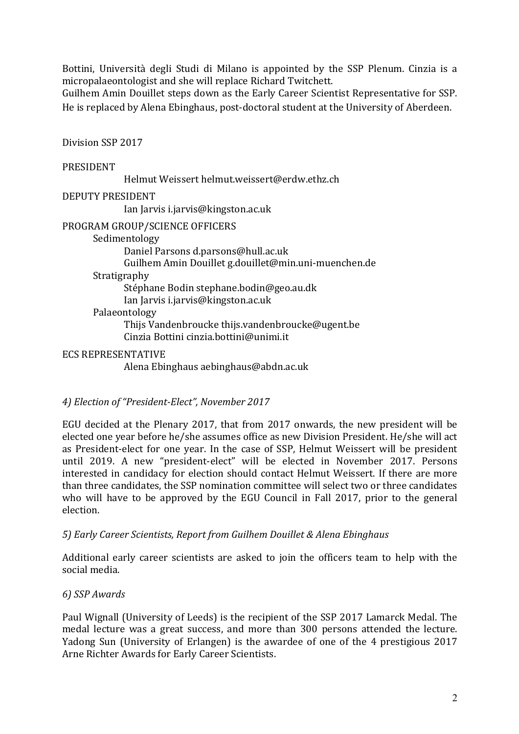Bottini, Università degli Studi di Milano is appointed by the SSP Plenum. Cinzia is a micropalaeontologist and she will replace Richard Twitchett.

Guilhem Amin Douillet steps down as the Early Career Scientist Representative for SSP. He is replaced by Alena Ebinghaus, post-doctoral student at the University of Aberdeen.

Division SSP 2017

### PRESIDENT

Helmut Weissert helmut.weissert@erdw.ethz.ch

### DEPUTY PRESIDENT

Ian Jarvis i.jarvis@kingston.ac.uk

### PROGRAM GROUP/SCIENCE OFFICERS

Sedimentology Daniel Parsons d.parsons@hull.ac.uk Guilhem Amin Douillet g.douillet@min.uni-muenchen.de Stratigraphy Stéphane Bodin stephane.bodin@geo.au.dk Ian Jarvis i.jarvis@kingston.ac.uk Palaeontology Thijs Vandenbroucke thijs.vandenbroucke@ugent.be Cinzia Bottini cinzia.bottini@unimi.it

### ECS REPRESENTATIVE

Alena Ebinghaus aebinghaus@abdn.ac.uk

# *4) Election of "President-Elect", November 2017*

EGU decided at the Plenary 2017, that from 2017 onwards, the new president will be elected one year before he/she assumes office as new Division President. He/she will act as President-elect for one year. In the case of SSP, Helmut Weissert will be president until 2019. A new "president-elect" will be elected in November 2017. Persons interested in candidacy for election should contact Helmut Weissert. If there are more than three candidates, the SSP nomination committee will select two or three candidates who will have to be approved by the EGU Council in Fall 2017, prior to the general election.

### *5) Early Career Scientists, Report from Guilhem Douillet & Alena Ebinghaus*

Additional early career scientists are asked to join the officers team to help with the social media.

### *6) SSP Awards*

Paul Wignall (University of Leeds) is the recipient of the SSP 2017 Lamarck Medal. The medal lecture was a great success, and more than 300 persons attended the lecture. Yadong Sun (University of Erlangen) is the awardee of one of the 4 prestigious 2017 Arne Richter Awards for Early Career Scientists.